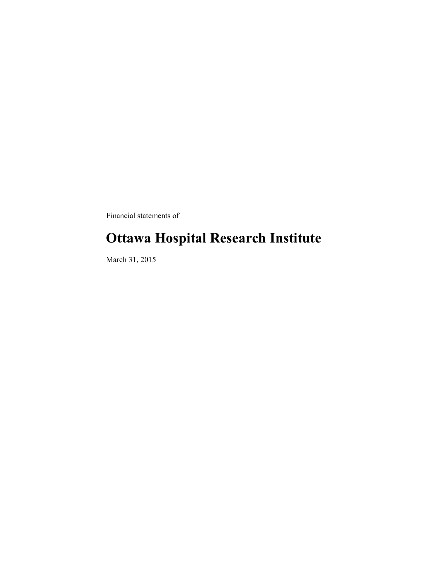Financial statements of

## **Ottawa Hospital Research Institute**

March 31, 2015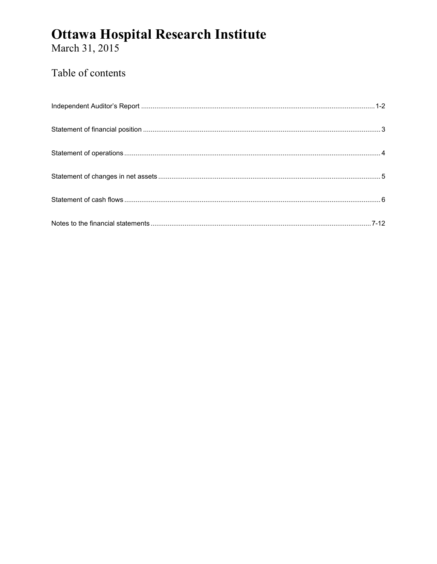# **Ottawa Hospital Research Institute**<br>March 31, 2015

### Table of contents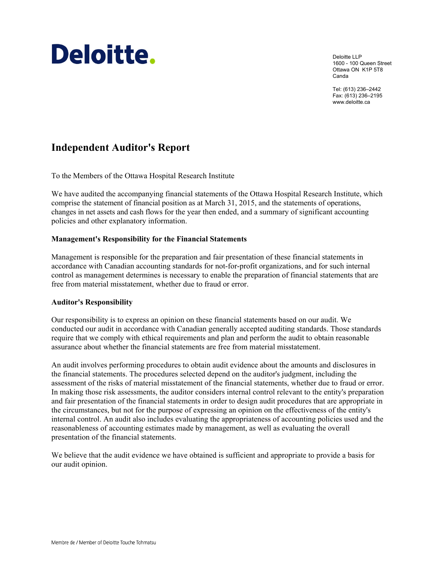# Deloitte.

Deloitte LLP 1600 - 100 Queen Street Ottawa ON K1P 5T8 Canda

Tel: (613) 236–2442 Fax: (613) 236–2195 www.deloitte.ca

### **Independent Auditor's Report**

To the Members of the Ottawa Hospital Research Institute

We have audited the accompanying financial statements of the Ottawa Hospital Research Institute, which comprise the statement of financial position as at March 31, 2015, and the statements of operations, changes in net assets and cash flows for the year then ended, and a summary of significant accounting policies and other explanatory information.

#### **Management's Responsibility for the Financial Statements**

Management is responsible for the preparation and fair presentation of these financial statements in accordance with Canadian accounting standards for not-for-profit organizations, and for such internal control as management determines is necessary to enable the preparation of financial statements that are free from material misstatement, whether due to fraud or error.

#### **Auditor's Responsibility**

Our responsibility is to express an opinion on these financial statements based on our audit. We conducted our audit in accordance with Canadian generally accepted auditing standards. Those standards require that we comply with ethical requirements and plan and perform the audit to obtain reasonable assurance about whether the financial statements are free from material misstatement.

An audit involves performing procedures to obtain audit evidence about the amounts and disclosures in the financial statements. The procedures selected depend on the auditor's judgment, including the assessment of the risks of material misstatement of the financial statements, whether due to fraud or error. In making those risk assessments, the auditor considers internal control relevant to the entity's preparation and fair presentation of the financial statements in order to design audit procedures that are appropriate in the circumstances, but not for the purpose of expressing an opinion on the effectiveness of the entity's internal control. An audit also includes evaluating the appropriateness of accounting policies used and the reasonableness of accounting estimates made by management, as well as evaluating the overall presentation of the financial statements.

We believe that the audit evidence we have obtained is sufficient and appropriate to provide a basis for our audit opinion.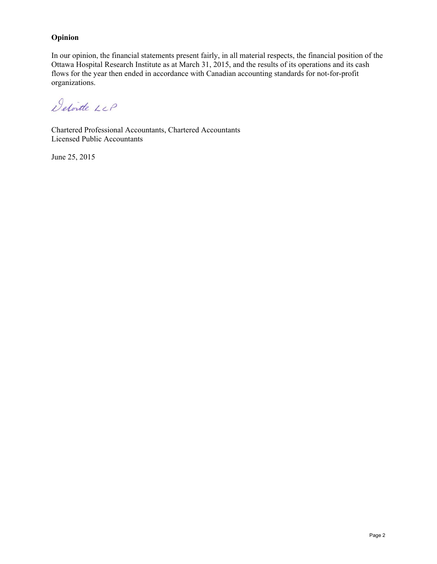#### **Opinion**

In our opinion, the financial statements present fairly, in all material respects, the financial position of the Ottawa Hospital Research Institute as at March 31, 2015, and the results of its operations and its cash flows for the year then ended in accordance with Canadian accounting standards for not-for-profit organizations.

Detoitte LLP

Chartered Professional Accountants, Chartered Accountants Licensed Public Accountants

June 25, 2015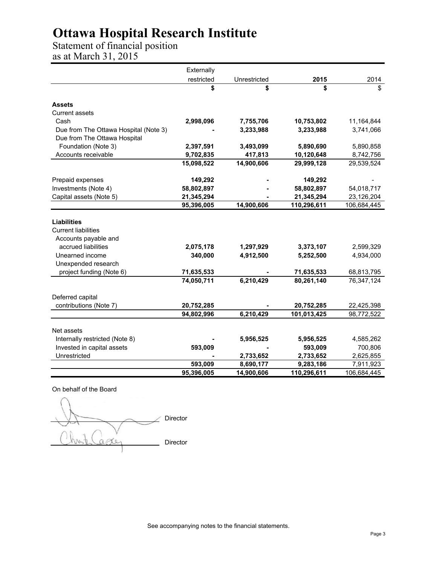Statement of financial position as at March 31, 2015

|                                       | Externally |              |             |             |
|---------------------------------------|------------|--------------|-------------|-------------|
|                                       | restricted | Unrestricted | 2015        | 2014        |
|                                       | \$         | \$           | \$          |             |
| <b>Assets</b>                         |            |              |             |             |
| <b>Current assets</b>                 |            |              |             |             |
| Cash                                  | 2,998,096  | 7,755,706    | 10,753,802  | 11,164,844  |
| Due from The Ottawa Hospital (Note 3) |            | 3,233,988    | 3,233,988   | 3,741,066   |
| Due from The Ottawa Hospital          |            |              |             |             |
| Foundation (Note 3)                   | 2,397,591  | 3,493,099    | 5,890,690   | 5,890,858   |
| Accounts receivable                   | 9,702,835  | 417,813      | 10,120,648  | 8,742,756   |
|                                       | 15,098,522 | 14,900,606   | 29,999,128  | 29,539,524  |
| Prepaid expenses                      | 149,292    |              | 149,292     |             |
| Investments (Note 4)                  | 58,802,897 |              | 58,802,897  | 54,018,717  |
| Capital assets (Note 5)               | 21,345,294 |              | 21,345,294  | 23,126,204  |
|                                       | 95,396,005 | 14,900,606   | 110,296,611 | 106,684,445 |
|                                       |            |              |             |             |
| <b>Liabilities</b>                    |            |              |             |             |
| <b>Current liabilities</b>            |            |              |             |             |
| Accounts payable and                  |            |              |             |             |
| accrued liabilities                   | 2,075,178  | 1,297,929    | 3,373,107   | 2,599,329   |
| Unearned income                       | 340,000    | 4,912,500    | 5,252,500   | 4,934,000   |
| Unexpended research                   |            |              |             |             |
| project funding (Note 6)              | 71,635,533 |              | 71,635,533  | 68,813,795  |
|                                       | 74,050,711 | 6,210,429    | 80,261,140  | 76,347,124  |
| Deferred capital                      |            |              |             |             |
| contributions (Note 7)                | 20,752,285 |              | 20,752,285  | 22,425,398  |
|                                       | 94,802,996 | 6,210,429    | 101,013,425 | 98,772,522  |
| Net assets                            |            |              |             |             |
| Internally restricted (Note 8)        |            | 5,956,525    | 5,956,525   | 4,585,262   |
| Invested in capital assets            | 593,009    |              | 593,009     | 700,806     |
| Unrestricted                          |            | 2,733,652    | 2,733,652   | 2,625,855   |
|                                       | 593,009    | 8,690,177    | 9,283,186   | 7,911,923   |
|                                       | 95,396,005 | 14,900,606   | 110,296,611 | 106,684,445 |

On behalf of the Board

 Director Director aster

See accompanying notes to the financial statements.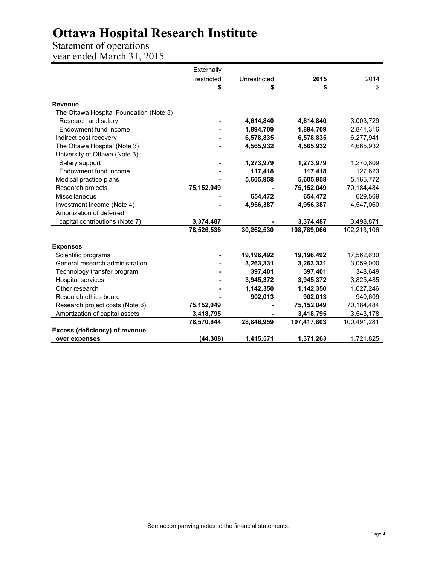Statement of operations year ended March 31, 2015

|                                         | Externally |              |             |             |
|-----------------------------------------|------------|--------------|-------------|-------------|
|                                         | restricted | Unrestricted | 2015        | 2014        |
|                                         | \$         | \$           | \$          | \$          |
| <b>Revenue</b>                          |            |              |             |             |
| The Ottawa Hospital Foundation (Note 3) |            |              |             |             |
| Research and salary                     |            | 4,614,840    | 4,614,840   | 3,003,729   |
| Endowment fund income                   |            | 1,894,709    | 1,894,709   | 2,841,316   |
| Indirect cost recovery                  |            | 6,578,835    | 6,578,835   | 6,277,941   |
| The Ottawa Hospital (Note 3)            |            | 4,565,932    | 4,565,932   | 4,665,932   |
| University of Ottawa (Note 3)           |            |              |             |             |
| Salary support                          |            | 1,273,979    | 1,273,979   | 1,270,809   |
| Endowment fund income                   |            | 117,418      | 117,418     | 127,623     |
| Medical practice plans                  |            | 5,605,958    | 5,605,958   | 5,165,772   |
| Research projects                       | 75,152,049 |              | 75,152,049  | 70,184,484  |
| Miscellaneous                           |            | 654,472      | 654,472     | 629,569     |
| Investment income (Note 4)              |            | 4,956,387    | 4,956,387   | 4,547,060   |
| Amortization of deferred                |            |              |             |             |
| capital contributions (Note 7)          | 3,374,487  |              | 3,374,487   | 3,498,871   |
|                                         | 78,526,536 | 30,262,530   | 108,789,066 | 102,213,106 |
|                                         |            |              |             |             |
| <b>Expenses</b>                         |            |              |             |             |
| Scientific programs                     |            | 19,196,492   | 19,196,492  | 17,562,630  |
| General research administration         |            | 3,263,331    | 3,263,331   | 3,059,000   |
| Technology transfer program             |            | 397,401      | 397,401     | 348,649     |
| Hospital services                       |            | 3,945,372    | 3,945,372   | 3,825,485   |
| Other research                          |            | 1,142,350    | 1,142,350   | 1,027,246   |
| Research ethics board                   |            | 902,013      | 902,013     | 940,609     |
| Research project costs (Note 6)         | 75,152,049 |              | 75,152,049  | 70,184,484  |
| Amortization of capital assets          | 3,418,795  |              | 3,418,795   | 3,543,178   |
|                                         | 78,570,844 | 28,846,959   | 107,417,803 | 100,491,281 |
| Excess (deficiency) of revenue          |            |              |             |             |
| over expenses                           | (44, 308)  | 1,415,571    | 1,371,263   | 1,721,825   |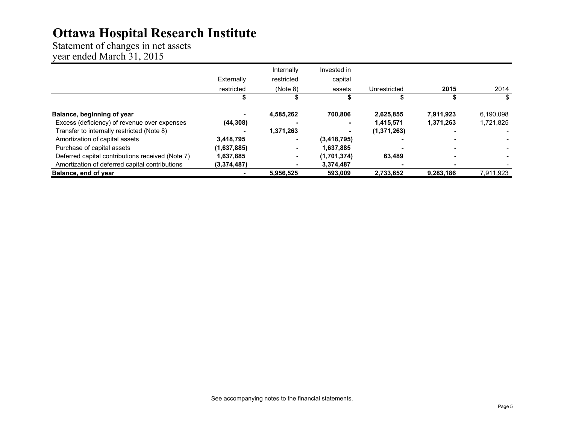Statement of changes in net assets year ended March 31, 2015

|                                                  |             | Internally | Invested in |              |           |           |
|--------------------------------------------------|-------------|------------|-------------|--------------|-----------|-----------|
|                                                  | Externally  | restricted | capital     |              |           |           |
|                                                  | restricted  | (Note 8)   | assets      | Unrestricted | 2015      | 2014      |
|                                                  |             |            |             |              |           |           |
| Balance, beginning of year                       |             | 4,585,262  | 700.806     | 2,625,855    | 7,911,923 | 6,190,098 |
| Excess (deficiency) of revenue over expenses     | (44, 308)   |            |             | 1,415,571    | 1,371,263 | 1,721,825 |
| Transfer to internally restricted (Note 8)       |             | 1,371,263  | ٠           | (1,371,263)  |           |           |
| Amortization of capital assets                   | 3.418.795   |            | (3,418,795) |              |           |           |
| Purchase of capital assets                       | (1,637,885) | ۰.         | 1.637.885   |              |           |           |
| Deferred capital contributions received (Note 7) | 1,637,885   |            | (1,701,374) | 63,489       | -         |           |
| Amortization of deferred capital contributions   | (3,374,487) |            | 3,374,487   |              |           |           |
| Balance, end of year                             |             | 5,956,525  | 593,009     | 2,733,652    | 9,283,186 | 7,911,923 |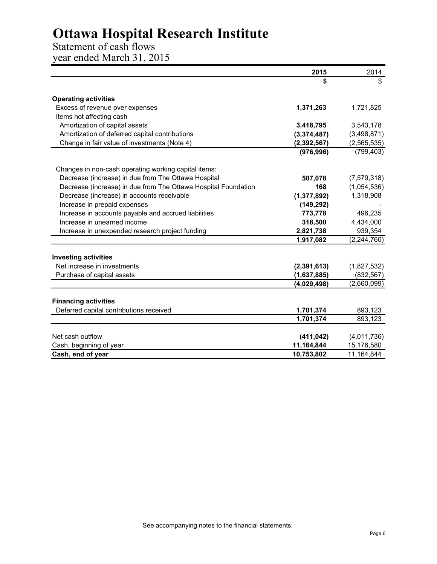Statement of cash flows year ended March 31, 2015

|                                                                | 2015          | 2014          |
|----------------------------------------------------------------|---------------|---------------|
|                                                                |               |               |
| <b>Operating activities</b>                                    |               |               |
| Excess of revenue over expenses                                | 1,371,263     | 1,721,825     |
| Items not affecting cash                                       |               |               |
| Amortization of capital assets                                 | 3,418,795     | 3,543,178     |
| Amortization of deferred capital contributions                 | (3,374,487)   | (3,498,871)   |
| Change in fair value of investments (Note 4)                   | (2, 392, 567) | (2, 565, 535) |
|                                                                | (976, 996)    | (799, 403)    |
| Changes in non-cash operating working capital items:           |               |               |
| Decrease (increase) in due from The Ottawa Hospital            | 507,078       | (7, 579, 318) |
| Decrease (increase) in due from The Ottawa Hospital Foundation | 168           | (1,054,536)   |
| Decrease (increase) in accounts receivable                     | (1, 377, 892) | 1,318,908     |
| Increase in prepaid expenses                                   | (149, 292)    |               |
| Increase in accounts payable and accrued liabilities           | 773,778       | 496,235       |
| Increase in unearned income                                    | 318,500       | 4,434,000     |
| Increase in unexpended research project funding                | 2,821,738     | 939,354       |
|                                                                | 1,917,082     | (2, 244, 760) |
| <b>Investing activities</b>                                    |               |               |
| Net increase in investments                                    | (2, 391, 613) | (1,827,532)   |
| Purchase of capital assets                                     | (1,637,885)   | (832, 567)    |
|                                                                | (4,029,498)   | (2,660,099)   |
| <b>Financing activities</b>                                    |               |               |
| Deferred capital contributions received                        | 1,701,374     | 893,123       |
|                                                                | 1,701,374     | 893,123       |
| Net cash outflow                                               | (411, 042)    | (4,011,736)   |
| Cash, beginning of year                                        | 11,164,844    | 15,176,580    |
| Cash, end of year                                              | 10,753,802    | 11,164,844    |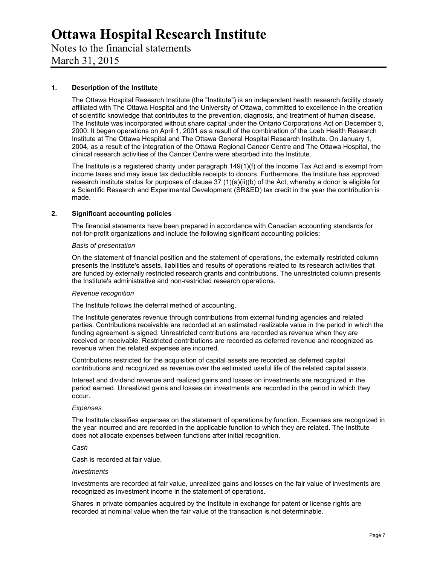Notes to the financial statements March 31, 2015

#### **1. Description of the Institute**

The Ottawa Hospital Research Institute (the "Institute") is an independent health research facility closely affiliated with The Ottawa Hospital and the University of Ottawa, committed to excellence in the creation of scientific knowledge that contributes to the prevention, diagnosis, and treatment of human disease. The Institute was incorporated without share capital under the Ontario Corporations Act on December 5, 2000. It began operations on April 1, 2001 as a result of the combination of the Loeb Health Research Institute at The Ottawa Hospital and The Ottawa General Hospital Research Institute. On January 1, 2004, as a result of the integration of the Ottawa Regional Cancer Centre and The Ottawa Hospital, the clinical research activities of the Cancer Centre were absorbed into the Institute.

The Institute is a registered charity under paragraph 149(1)(f) of the Income Tax Act and is exempt from income taxes and may issue tax deductible receipts to donors. Furthermore, the Institute has approved research institute status for purposes of clause 37 (1)(a)(ii)(b) of the Act, whereby a donor is eligible for a Scientific Research and Experimental Development (SR&ED) tax credit in the year the contribution is made.

#### **2. Significant accounting policies**

The financial statements have been prepared in accordance with Canadian accounting standards for not-for-profit organizations and include the following significant accounting policies:

#### *Basis of presentation*

On the statement of financial position and the statement of operations, the externally restricted column presents the Institute's assets, liabilities and results of operations related to its research activities that are funded by externally restricted research grants and contributions. The unrestricted column presents the Institute's administrative and non-restricted research operations.

#### *Revenue recognition*

The Institute follows the deferral method of accounting.

The Institute generates revenue through contributions from external funding agencies and related parties. Contributions receivable are recorded at an estimated realizable value in the period in which the funding agreement is signed. Unrestricted contributions are recorded as revenue when they are received or receivable. Restricted contributions are recorded as deferred revenue and recognized as revenue when the related expenses are incurred.

Contributions restricted for the acquisition of capital assets are recorded as deferred capital contributions and recognized as revenue over the estimated useful life of the related capital assets.

Interest and dividend revenue and realized gains and losses on investments are recognized in the period earned. Unrealized gains and losses on investments are recorded in the period in which they occur.

#### *Expenses*

The Institute classifies expenses on the statement of operations by function. Expenses are recognized in the year incurred and are recorded in the applicable function to which they are related. The Institute does not allocate expenses between functions after initial recognition.

#### *Cash*

Cash is recorded at fair value.

#### *Investments*

Investments are recorded at fair value, unrealized gains and losses on the fair value of investments are recognized as investment income in the statement of operations.

Shares in private companies acquired by the Institute in exchange for patent or license rights are recorded at nominal value when the fair value of the transaction is not determinable.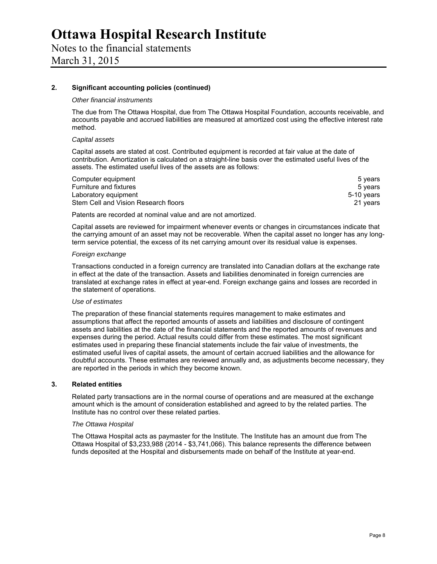Notes to the financial statements March 31, 2015

#### **2. Significant accounting policies (continued)**

#### *Other financial instruments*

The due from The Ottawa Hospital, due from The Ottawa Hospital Foundation, accounts receivable, and accounts payable and accrued liabilities are measured at amortized cost using the effective interest rate method.

#### *Capital assets*

Capital assets are stated at cost. Contributed equipment is recorded at fair value at the date of contribution. Amortization is calculated on a straight-line basis over the estimated useful lives of the assets. The estimated useful lives of the assets are as follows:

| Computer equipment                   | 5 vears    |
|--------------------------------------|------------|
| Furniture and fixtures               | 5 vears    |
| Laboratory equipment                 | 5-10 years |
| Stem Cell and Vision Research floors | 21 years   |

Patents are recorded at nominal value and are not amortized.

Capital assets are reviewed for impairment whenever events or changes in circumstances indicate that the carrying amount of an asset may not be recoverable. When the capital asset no longer has any longterm service potential, the excess of its net carrying amount over its residual value is expenses.

#### *Foreign exchange*

Transactions conducted in a foreign currency are translated into Canadian dollars at the exchange rate in effect at the date of the transaction. Assets and liabilities denominated in foreign currencies are translated at exchange rates in effect at year-end. Foreign exchange gains and losses are recorded in the statement of operations.

#### *Use of estimates*

The preparation of these financial statements requires management to make estimates and assumptions that affect the reported amounts of assets and liabilities and disclosure of contingent assets and liabilities at the date of the financial statements and the reported amounts of revenues and expenses during the period. Actual results could differ from these estimates. The most significant estimates used in preparing these financial statements include the fair value of investments, the estimated useful lives of capital assets, the amount of certain accrued liabilities and the allowance for doubtful accounts. These estimates are reviewed annually and, as adjustments become necessary, they are reported in the periods in which they become known.

#### **3. Related entities**

Related party transactions are in the normal course of operations and are measured at the exchange amount which is the amount of consideration established and agreed to by the related parties. The Institute has no control over these related parties.

#### *The Ottawa Hospital*

The Ottawa Hospital acts as paymaster for the Institute. The Institute has an amount due from The Ottawa Hospital of \$3,233,988 (2014 - \$3,741,066). This balance represents the difference between funds deposited at the Hospital and disbursements made on behalf of the Institute at year-end.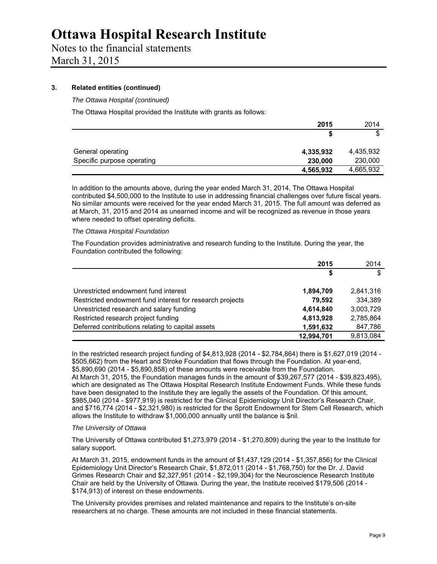### Notes to the financial statements

March 31, 2015

#### **3. Related entities (continued)**

*The Ottawa Hospital (continued)* 

The Ottawa Hospital provided the Institute with grants as follows:

|                            | 2015      | 2014      |
|----------------------------|-----------|-----------|
|                            |           |           |
| General operating          | 4,335,932 | 4,435,932 |
| Specific purpose operating | 230,000   | 230,000   |
|                            | 4,565,932 | 4,665,932 |

In addition to the amounts above, during the year ended March 31, 2014, The Ottawa Hospital contributed \$4,500,000 to the Institute to use in addressing financial challenges over future fiscal years. No similar amounts were received for the year ended March 31, 2015. The full amount was deferred as at March, 31, 2015 and 2014 as unearned income and will be recognized as revenue in those years where needed to offset operating deficits.

#### *The Ottawa Hospital Foundation*

The Foundation provides administrative and research funding to the Institute. During the year, the Foundation contributed the following:

|                                                          | 2015       | 2014      |
|----------------------------------------------------------|------------|-----------|
|                                                          | \$         | \$        |
| Unrestricted endowment fund interest                     | 1,894,709  | 2,841,316 |
| Restricted endowment fund interest for research projects | 79.592     | 334,389   |
| Unrestricted research and salary funding                 | 4,614,840  | 3,003,729 |
| Restricted research project funding                      | 4,813,928  | 2,785,864 |
| Deferred contributions relating to capital assets        | 1,591,632  | 847,786   |
|                                                          | 12.994.701 | 9,813,084 |

In the restricted research project funding of \$4,813,928 (2014 - \$2,784,864) there is \$1,627,019 (2014 - \$505,662) from the Heart and Stroke Foundation that flows through the Foundation. At year-end, \$5,890,690 (2014 - \$5,890,858) of these amounts were receivable from the Foundation. At March 31, 2015, the Foundation manages funds in the amount of \$39,267,577 (2014 - \$39,823,495), which are designated as The Ottawa Hospital Research Institute Endowment Funds. While these funds have been designated to the Institute they are legally the assets of the Foundation. Of this amount, \$985,040 (2014 - \$977,919) is restricted for the Clinical Epidemiology Unit Director's Research Chair, and \$716,774 (2014 - \$2,321,980) is restricted for the Sprott Endowment for Stem Cell Research, which allows the Institute to withdraw \$1,000,000 annually until the balance is \$nil.

#### *The University of Ottawa*

The University of Ottawa contributed \$1,273,979 (2014 - \$1,270,809) during the year to the Institute for salary support.

At March 31, 2015, endowment funds in the amount of \$1,437,129 (2014 - \$1,357,856) for the Clinical Epidemiology Unit Director's Research Chair, \$1,872,011 (2014 - \$1,768,750) for the Dr. J. David Grimes Research Chair and \$2,327,951 (2014 - \$2,199,304) for the Neuroscience Research Institute Chair are held by the University of Ottawa. During the year, the Institute received \$179,506 (2014 - \$174,913) of interest on these endowments.

The University provides premises and related maintenance and repairs to the Institute's on-site researchers at no charge. These amounts are not included in these financial statements.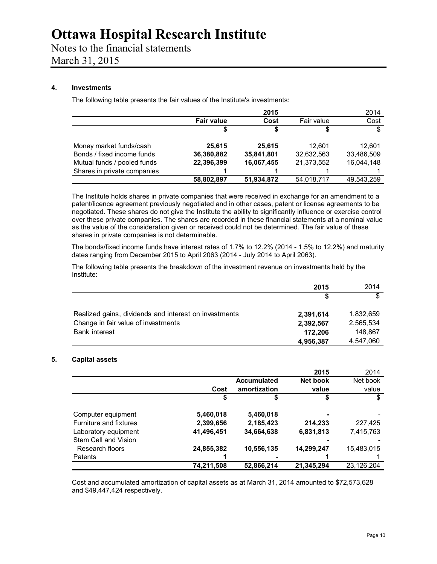Notes to the financial statements March 31, 2015

#### **4. Investments**

The following table presents the fair values of the Institute's investments:

|                             |                   | 2015       |            | 2014       |
|-----------------------------|-------------------|------------|------------|------------|
|                             | <b>Fair value</b> | Cost       | Fair value | Cost       |
|                             |                   |            | \$         |            |
| Money market funds/cash     | 25.615            | 25.615     | 12.601     | 12,601     |
| Bonds / fixed income funds  | 36,380,882        | 35,841,801 | 32,632,563 | 33,486,509 |
| Mutual funds / pooled funds | 22,396,399        | 16,067,455 | 21,373,552 | 16,044,148 |
| Shares in private companies |                   |            |            |            |
|                             | 58,802,897        | 51,934,872 | 54,018,717 | 49,543,259 |

The Institute holds shares in private companies that were received in exchange for an amendment to a patent/licence agreement previously negotiated and in other cases, patent or license agreements to be negotiated. These shares do not give the Institute the ability to significantly influence or exercise control over these private companies. The shares are recorded in these financial statements at a nominal value as the value of the consideration given or received could not be determined. The fair value of these shares in private companies is not determinable.

The bonds/fixed income funds have interest rates of 1.7% to 12.2% (2014 - 1.5% to 12.2%) and maturity dates ranging from December 2015 to April 2063 (2014 - July 2014 to April 2063).

The following table presents the breakdown of the investment revenue on investments held by the Institute:

|                                                       | 2015      | 2014      |
|-------------------------------------------------------|-----------|-----------|
|                                                       |           |           |
| Realized gains, dividends and interest on investments | 2,391,614 | 1,832,659 |
| Change in fair value of investments                   | 2,392,567 | 2,565,534 |
| <b>Bank interest</b>                                  | 172.206   | 148,867   |
|                                                       | 4,956,387 | 4,547,060 |

#### **5. Capital assets**

|                        |            |                    | 2015       | 2014       |
|------------------------|------------|--------------------|------------|------------|
|                        |            | <b>Accumulated</b> | Net book   | Net book   |
|                        | Cost       | amortization       | value      | value      |
|                        | \$         | \$                 | \$         | \$         |
| Computer equipment     | 5,460,018  | 5,460,018          |            |            |
| Furniture and fixtures | 2,399,656  | 2,185,423          | 214,233    | 227,425    |
| Laboratory equipment   | 41,496,451 | 34,664,638         | 6,831,813  | 7,415,763  |
| Stem Cell and Vision   |            |                    |            |            |
| Research floors        | 24,855,382 | 10,556,135         | 14,299,247 | 15,483,015 |
| Patents                |            |                    |            |            |
|                        | 74,211,508 | 52,866,214         | 21,345,294 | 23.126.204 |

Cost and accumulated amortization of capital assets as at March 31, 2014 amounted to \$72,573,628 and \$49,447,424 respectively.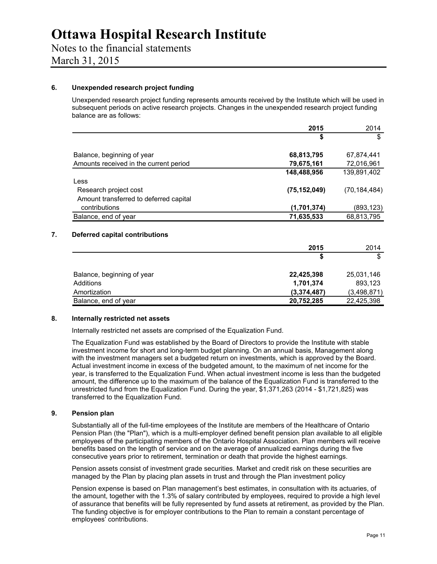### Notes to the financial statements March 31, 2015

#### **6. Unexpended research project funding**

Unexpended research project funding represents amounts received by the Institute which will be used in subsequent periods on active research projects. Changes in the unexpended research project funding balance are as follows:

|                                        | 2015           | 2014           |
|----------------------------------------|----------------|----------------|
|                                        | \$             | \$             |
| Balance, beginning of year             | 68,813,795     | 67,874,441     |
| Amounts received in the current period | 79,675,161     | 72,016,961     |
|                                        | 148,488,956    | 139,891,402    |
| Less                                   |                |                |
| Research project cost                  | (75, 152, 049) | (70, 184, 484) |
| Amount transferred to deferred capital |                |                |
| contributions                          | (1,701,374)    | (893,123)      |
| Balance, end of year                   | 71,635,533     | 68,813,795     |
|                                        |                |                |

#### **7. Deferred capital contributions**

|                            | 2015        | 2014        |
|----------------------------|-------------|-------------|
|                            | S           | \$          |
| Balance, beginning of year | 22,425,398  | 25,031,146  |
| Additions                  | 1,701,374   | 893,123     |
| Amortization               | (3,374,487) | (3,498,871) |
| Balance, end of year       | 20,752,285  | 22,425,398  |

#### **8. Internally restricted net assets**

Internally restricted net assets are comprised of the Equalization Fund.

The Equalization Fund was established by the Board of Directors to provide the Institute with stable investment income for short and long-term budget planning. On an annual basis, Management along with the investment managers set a budgeted return on investments, which is approved by the Board. Actual investment income in excess of the budgeted amount, to the maximum of net income for the year, is transferred to the Equalization Fund. When actual investment income is less than the budgeted amount, the difference up to the maximum of the balance of the Equalization Fund is transferred to the unrestricted fund from the Equalization Fund. During the year, \$1,371,263 (2014 - \$1,721,825) was transferred to the Equalization Fund.

#### **9. Pension plan**

Substantially all of the full-time employees of the Institute are members of the Healthcare of Ontario Pension Plan (the "Plan"), which is a multi-employer defined benefit pension plan available to all eligible employees of the participating members of the Ontario Hospital Association. Plan members will receive benefits based on the length of service and on the average of annualized earnings during the five consecutive years prior to retirement, termination or death that provide the highest earnings.

Pension assets consist of investment grade securities. Market and credit risk on these securities are managed by the Plan by placing plan assets in trust and through the Plan investment policy

Pension expense is based on Plan management's best estimates, in consultation with its actuaries, of the amount, together with the 1.3% of salary contributed by employees, required to provide a high level of assurance that benefits will be fully represented by fund assets at retirement, as provided by the Plan. The funding objective is for employer contributions to the Plan to remain a constant percentage of employees' contributions.